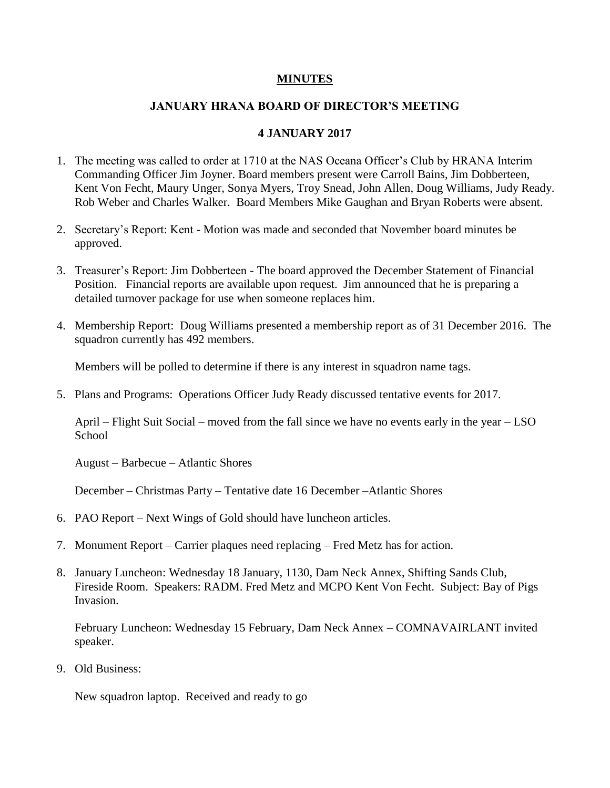## **MINUTES**

## **JANUARY HRANA BOARD OF DIRECTOR'S MEETING**

## **4 JANUARY 2017**

- 1. The meeting was called to order at 1710 at the NAS Oceana Officer's Club by HRANA Interim Commanding Officer Jim Joyner. Board members present were Carroll Bains, Jim Dobberteen, Kent Von Fecht, Maury Unger, Sonya Myers, Troy Snead, John Allen, Doug Williams, Judy Ready. Rob Weber and Charles Walker. Board Members Mike Gaughan and Bryan Roberts were absent.
- 2. Secretary's Report: Kent Motion was made and seconded that November board minutes be approved.
- 3. Treasurer's Report: Jim Dobberteen The board approved the December Statement of Financial Position. Financial reports are available upon request. Jim announced that he is preparing a detailed turnover package for use when someone replaces him.
- 4. Membership Report: Doug Williams presented a membership report as of 31 December 2016. The squadron currently has 492 members.

Members will be polled to determine if there is any interest in squadron name tags.

5. Plans and Programs: Operations Officer Judy Ready discussed tentative events for 2017.

April – Flight Suit Social – moved from the fall since we have no events early in the year – LSO **School** 

August – Barbecue – Atlantic Shores

December – Christmas Party – Tentative date 16 December –Atlantic Shores

- 6. PAO Report Next Wings of Gold should have luncheon articles.
- 7. Monument Report Carrier plaques need replacing Fred Metz has for action.
- 8. January Luncheon: Wednesday 18 January, 1130, Dam Neck Annex, Shifting Sands Club, Fireside Room. Speakers: RADM. Fred Metz and MCPO Kent Von Fecht. Subject: Bay of Pigs Invasion.

February Luncheon: Wednesday 15 February, Dam Neck Annex – COMNAVAIRLANT invited speaker.

9. Old Business:

New squadron laptop. Received and ready to go